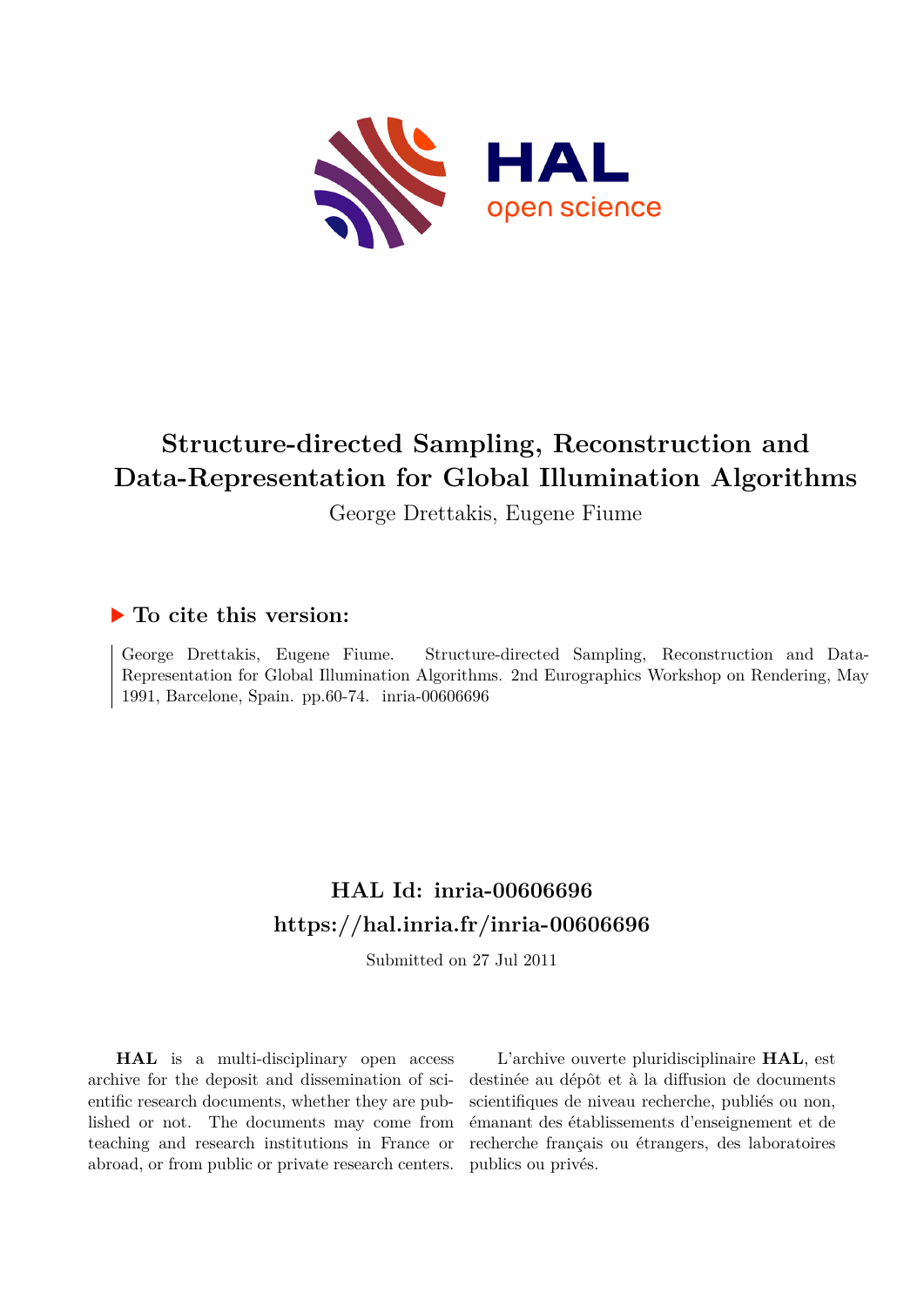

# **Structure-directed Sampling, Reconstruction and Data-Representation for Global Illumination Algorithms**

George Drettakis, Eugene Fiume

# **To cite this version:**

George Drettakis, Eugene Fiume. Structure-directed Sampling, Reconstruction and Data-Representation for Global Illumination Algorithms. 2nd Eurographics Workshop on Rendering, May 1991, Barcelone, Spain. pp.60-74. inria-00606696

# **HAL Id: inria-00606696 <https://hal.inria.fr/inria-00606696>**

Submitted on 27 Jul 2011

**HAL** is a multi-disciplinary open access archive for the deposit and dissemination of scientific research documents, whether they are published or not. The documents may come from teaching and research institutions in France or abroad, or from public or private research centers.

L'archive ouverte pluridisciplinaire **HAL**, est destinée au dépôt et à la diffusion de documents scientifiques de niveau recherche, publiés ou non, émanant des établissements d'enseignement et de recherche français ou étrangers, des laboratoires publics ou privés.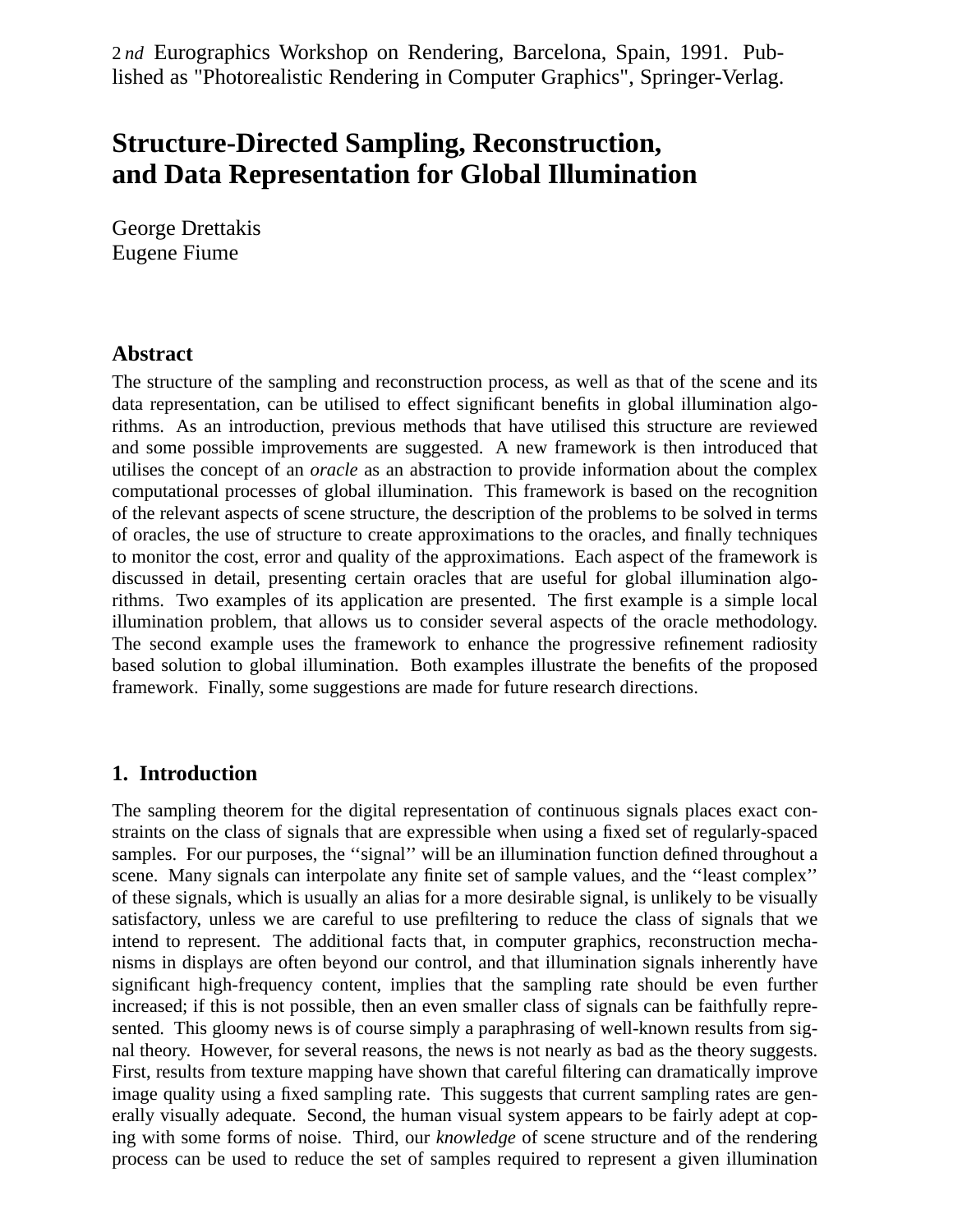2 *nd* Eurographics Workshop on Rendering, Barcelona, Spain, 1991. Published as "Photorealistic Rendering in Computer Graphics", Springer-Verlag.

# **Structure-Directed Sampling, Reconstruction, and Data Representation for Global Illumination**

George Drettakis Eugene Fiume

## **Abstract**

The structure of the sampling and reconstruction process, as well as that of the scene and its data representation, can be utilised to effect significant benefits in global illumination algorithms. As an introduction, previous methods that have utilised this structure are reviewed and some possible improvements are suggested. A new framework is then introduced that utilises the concept of an *oracle* as an abstraction to provide information about the complex computational processes of global illumination. This framework is based on the recognition of the relevant aspects of scene structure, the description of the problems to be solved in terms of oracles, the use of structure to create approximations to the oracles, and finally techniques to monitor the cost, error and quality of the approximations. Each aspect of the framework is discussed in detail, presenting certain oracles that are useful for global illumination algorithms. Two examples of its application are presented. The first example is a simple local illumination problem, that allows us to consider several aspects of the oracle methodology. The second example uses the framework to enhance the progressive refinement radiosity based solution to global illumination. Both examples illustrate the benefits of the proposed framework. Finally, some suggestions are made for future research directions.

## **1. Introduction**

The sampling theorem for the digital representation of continuous signals places exact constraints on the class of signals that are expressible when using a fixed set of regularly-spaced samples. For our purposes, the "signal" will be an illumination function defined throughout a scene. Many signals can interpolate any finite set of sample values, and the ''least complex'' of these signals, which is usually an alias for a more desirable signal, is unlikely to be visually satisfactory, unless we are careful to use prefiltering to reduce the class of signals that we intend to represent. The additional facts that, in computer graphics, reconstruction mechanisms in displays are often beyond our control, and that illumination signals inherently have significant high-frequency content, implies that the sampling rate should be even further increased; if this is not possible, then an even smaller class of signals can be faithfully represented. This gloomy news is of course simply a paraphrasing of well-known results from signal theory. However, for several reasons, the news is not nearly as bad as the theory suggests. First, results from texture mapping have shown that careful filtering can dramatically improve image quality using a fixed sampling rate. This suggests that current sampling rates are generally visually adequate. Second, the human visual system appears to be fairly adept at coping with some forms of noise. Third, our *knowledge* of scene structure and of the rendering process can be used to reduce the set of samples required to represent a given illumination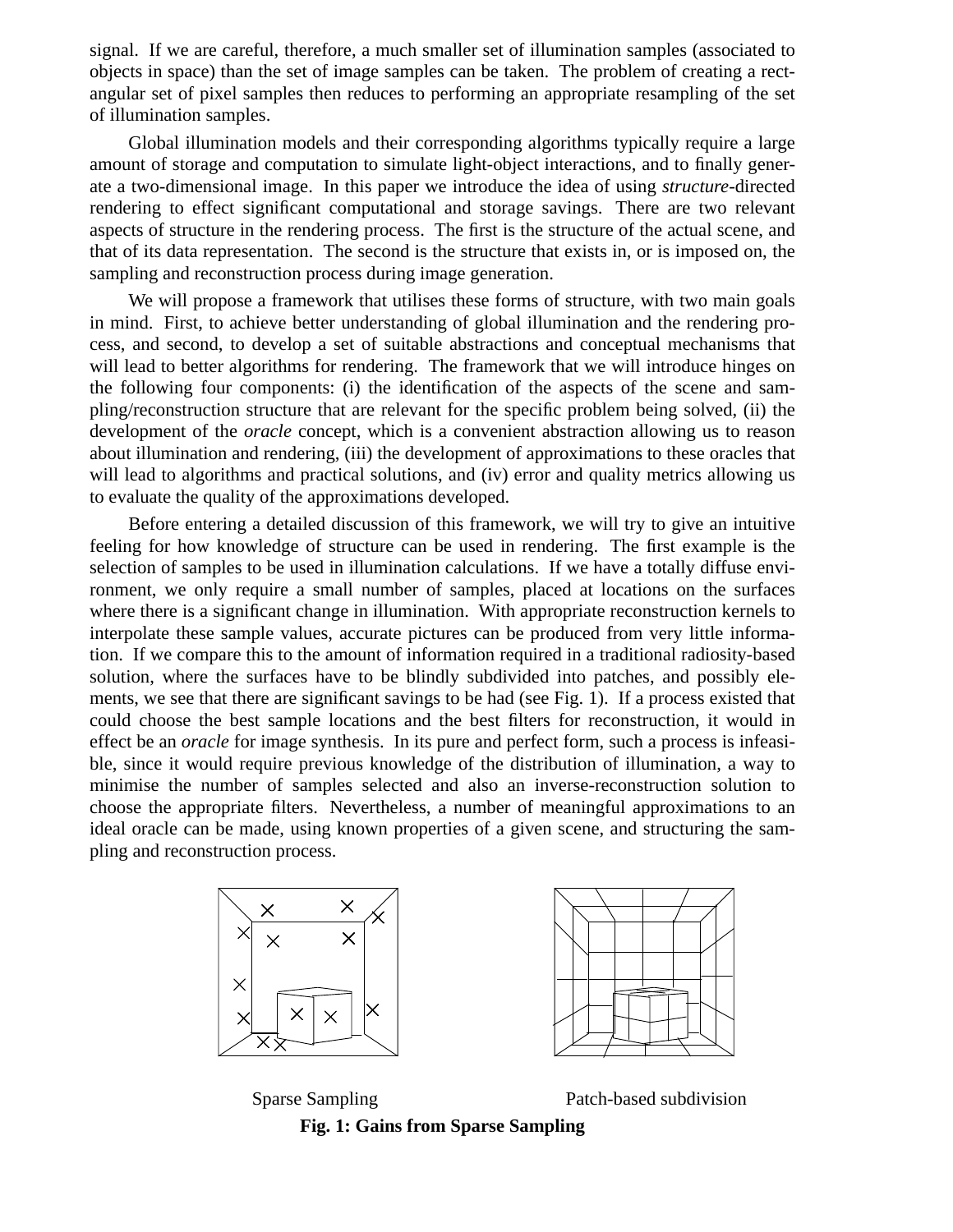signal. If we are careful, therefore, a much smaller set of illumination samples (associated to objects in space) than the set of image samples can be taken. The problem of creating a rectangular set of pixel samples then reduces to performing an appropriate resampling of the set of illumination samples.

Global illumination models and their corresponding algorithms typically require a large amount of storage and computation to simulate light-object interactions, and to finally generate a two-dimensional image. In this paper we introduce the idea of using *structure*-directed rendering to effect significant computational and storage savings. There are two relevant aspects of structure in the rendering process. The first is the structure of the actual scene, and that of its data representation. The second is the structure that exists in, or is imposed on, the sampling and reconstruction process during image generation.

We will propose a framework that utilises these forms of structure, with two main goals in mind. First, to achieve better understanding of global illumination and the rendering process, and second, to develop a set of suitable abstractions and conceptual mechanisms that will lead to better algorithms for rendering. The framework that we will introduce hinges on the following four components: (i) the identification of the aspects of the scene and sampling/reconstruction structure that are relevant for the specific problem being solved, (ii) the development of the *oracle* concept, which is a convenient abstraction allowing us to reason about illumination and rendering, (iii) the development of approximations to these oracles that will lead to algorithms and practical solutions, and (iv) error and quality metrics allowing us to evaluate the quality of the approximations developed.

Before entering a detailed discussion of this framework, we will try to give an intuitive feeling for how knowledge of structure can be used in rendering. The first example is the selection of samples to be used in illumination calculations. If we have a totally diffuse environment, we only require a small number of samples, placed at locations on the surfaces where there is a significant change in illumination. With appropriate reconstruction kernels to interpolate these sample values, accurate pictures can be produced from very little information. If we compare this to the amount of information required in a traditional radiosity-based solution, where the surfaces have to be blindly subdivided into patches, and possibly elements, we see that there are significant savings to be had (see Fig. 1). If a process existed that could choose the best sample locations and the best filters for reconstruction, it would in effect be an *oracle* for image synthesis. In its pure and perfect form, such a process is infeasible, since it would require previous knowledge of the distribution of illumination, a way to minimise the number of samples selected and also an inverse-reconstruction solution to choose the appropriate filters. Nevertheless, a number of meaningful approximations to an ideal oracle can be made, using known properties of a given scene, and structuring the sampling and reconstruction process.





Sparse Sampling Patch-based subdivision **Fig. 1: Gains from Sparse Sampling**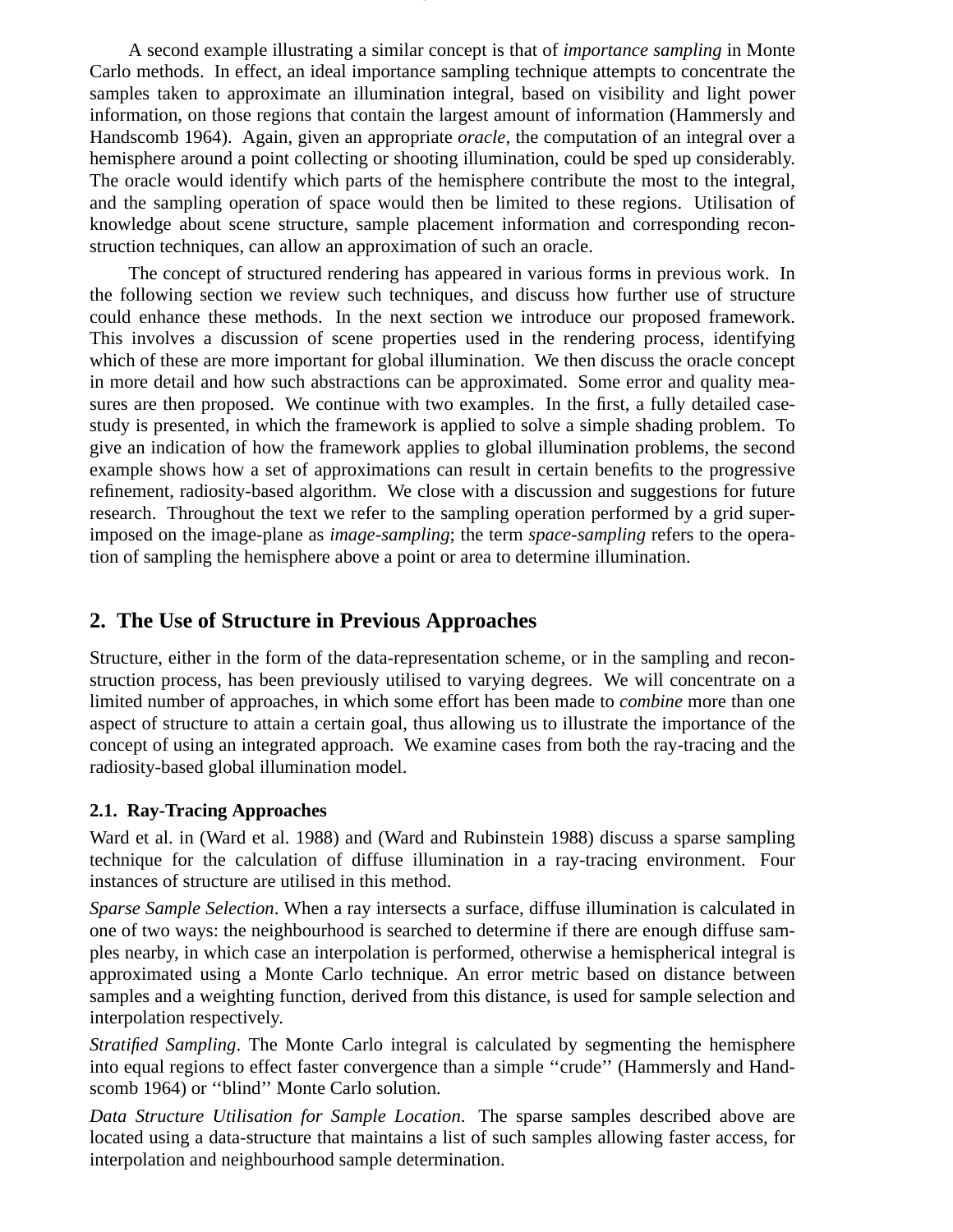A second example illustrating a similar concept is that of *importance sampling* in Monte Carlo methods. In effect, an ideal importance sampling technique attempts to concentrate the samples taken to approximate an illumination integral, based on visibility and light power information, on those regions that contain the largest amount of information (Hammersly and Handscomb 1964). Again, given an appropriate *oracle*, the computation of an integral over a hemisphere around a point collecting or shooting illumination, could be sped up considerably. The oracle would identify which parts of the hemisphere contribute the most to the integral, and the sampling operation of space would then be limited to these regions. Utilisation of knowledge about scene structure, sample placement information and corresponding reconstruction techniques, can allow an approximation of such an oracle.

-3-

The concept of structured rendering has appeared in various forms in previous work. In the following section we review such techniques, and discuss how further use of structure could enhance these methods. In the next section we introduce our proposed framework. This involves a discussion of scene properties used in the rendering process, identifying which of these are more important for global illumination. We then discuss the oracle concept in more detail and how such abstractions can be approximated. Some error and quality measures are then proposed. We continue with two examples. In the first, a fully detailed casestudy is presented, in which the framework is applied to solve a simple shading problem. To give an indication of how the framework applies to global illumination problems, the second example shows how a set of approximations can result in certain benefits to the progressive refinement, radiosity-based algorithm. We close with a discussion and suggestions for future research. Throughout the text we refer to the sampling operation performed by a grid superimposed on the image-plane as *image-sampling*; the term *space-sampling* refers to the operation of sampling the hemisphere above a point or area to determine illumination.

## **2. The Use of Structure in Previous Approaches**

Structure, either in the form of the data-representation scheme, or in the sampling and reconstruction process, has been previously utilised to varying degrees. We will concentrate on a limited number of approaches, in which some effort has been made to *combine* more than one aspect of structure to attain a certain goal, thus allowing us to illustrate the importance of the concept of using an integrated approach. We examine cases from both the ray-tracing and the radiosity-based global illumination model.

## **2.1. Ray-Tracing Approaches**

Ward et al. in (Ward et al. 1988) and (Ward and Rubinstein 1988) discuss a sparse sampling technique for the calculation of diffuse illumination in a ray-tracing environment. Four instances of structure are utilised in this method.

*Sparse Sample Selection*. When a ray intersects a surface, diffuse illumination is calculated in one of two ways: the neighbourhood is searched to determine if there are enough diffuse samples nearby, in which case an interpolation is performed, otherwise a hemispherical integral is approximated using a Monte Carlo technique. An error metric based on distance between samples and a weighting function, derived from this distance, is used for sample selection and interpolation respectively.

*Stratified Sampling*. The Monte Carlo integral is calculated by segmenting the hemisphere into equal regions to effect faster convergence than a simple ''crude'' (Hammersly and Handscomb 1964) or ''blind'' Monte Carlo solution.

*Data Structure Utilisation for Sample Location*. The sparse samples described above are located using a data-structure that maintains a list of such samples allowing faster access, for interpolation and neighbourhood sample determination.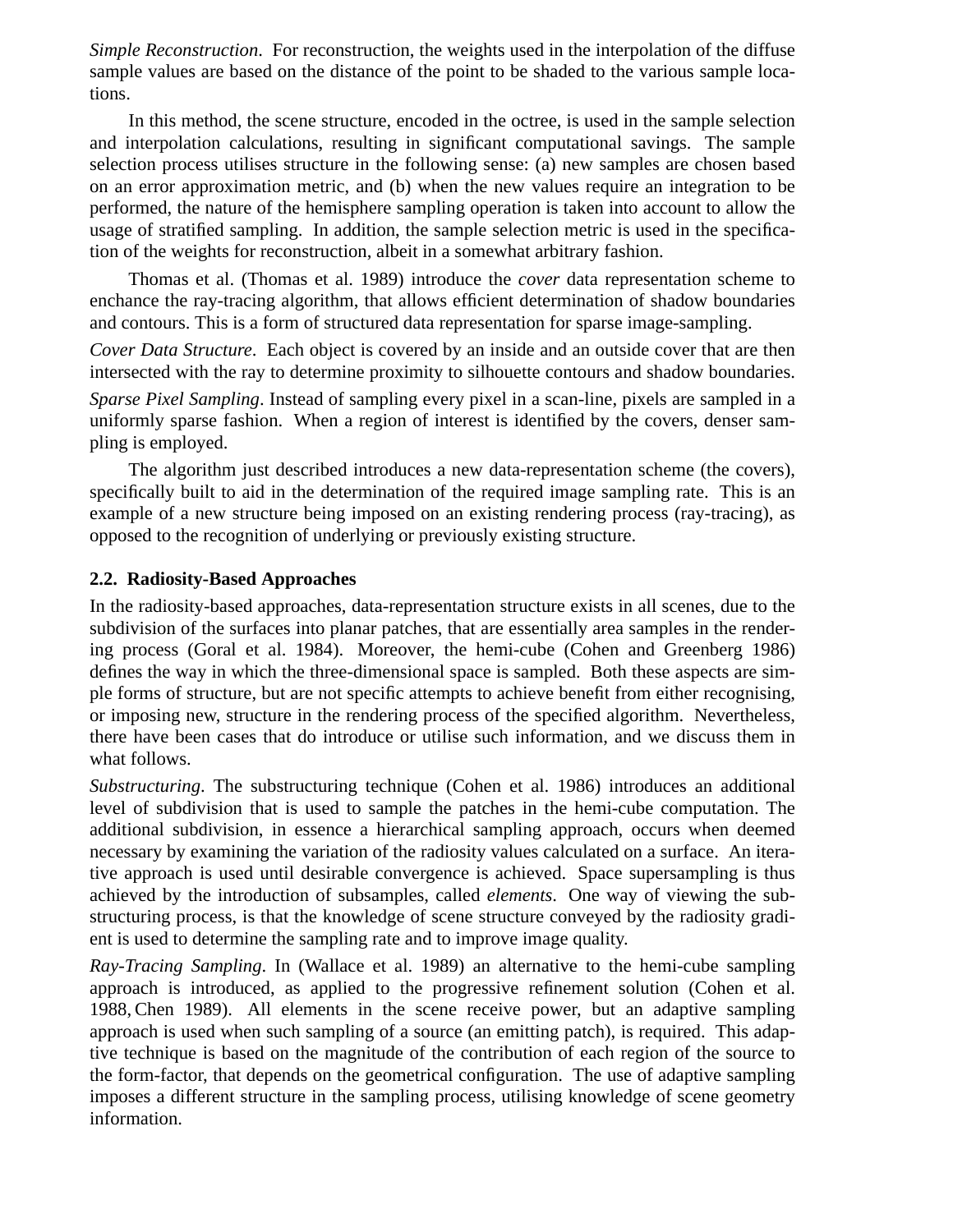*Simple Reconstruction*. For reconstruction, the weights used in the interpolation of the diffuse sample values are based on the distance of the point to be shaded to the various sample locations.

In this method, the scene structure, encoded in the octree, is used in the sample selection and interpolation calculations, resulting in significant computational savings. The sample selection process utilises structure in the following sense: (a) new samples are chosen based on an error approximation metric, and (b) when the new values require an integration to be performed, the nature of the hemisphere sampling operation is taken into account to allow the usage of stratified sampling. In addition, the sample selection metric is used in the specification of the weights for reconstruction, albeit in a somewhat arbitrary fashion.

Thomas et al. (Thomas et al. 1989) introduce the *cover* data representation scheme to enchance the ray-tracing algorithm, that allows efficient determination of shadow boundaries and contours. This is a form of structured data representation for sparse image-sampling.

*Cover Data Structure*. Each object is covered by an inside and an outside cover that are then intersected with the ray to determine proximity to silhouette contours and shadow boundaries.

*Sparse Pixel Sampling*. Instead of sampling every pixel in a scan-line, pixels are sampled in a uniformly sparse fashion. When a region of interest is identified by the covers, denser sampling is employed.

The algorithm just described introduces a new data-representation scheme (the covers), specifically built to aid in the determination of the required image sampling rate. This is an example of a new structure being imposed on an existing rendering process (ray-tracing), as opposed to the recognition of underlying or previously existing structure.

## **2.2. Radiosity-Based Approaches**

In the radiosity-based approaches, data-representation structure exists in all scenes, due to the subdivision of the surfaces into planar patches, that are essentially area samples in the rendering process (Goral et al. 1984). Moreover, the hemi-cube (Cohen and Greenberg 1986) defines the way in which the three-dimensional space is sampled. Both these aspects are simple forms of structure, but are not specific attempts to achieve benefit from either recognising, or imposing new, structure in the rendering process of the specified algorithm. Nevertheless, there have been cases that do introduce or utilise such information, and we discuss them in what follows.

*Substructuring*. The substructuring technique (Cohen et al. 1986) introduces an additional level of subdivision that is used to sample the patches in the hemi-cube computation. The additional subdivision, in essence a hierarchical sampling approach, occurs when deemed necessary by examining the variation of the radiosity values calculated on a surface. An iterative approach is used until desirable convergence is achieved. Space supersampling is thus achieved by the introduction of subsamples, called *elements*. One way of viewing the substructuring process, is that the knowledge of scene structure conveyed by the radiosity gradient is used to determine the sampling rate and to improve image quality.

*Ray-Tracing Sampling*. In (Wallace et al. 1989) an alternative to the hemi-cube sampling approach is introduced, as applied to the progressive refinement solution (Cohen et al. 1988, Chen 1989). All elements in the scene receive power, but an adaptive sampling approach is used when such sampling of a source (an emitting patch), is required. This adaptive technique is based on the magnitude of the contribution of each region of the source to the form-factor, that depends on the geometrical configuration. The use of adaptive sampling imposes a different structure in the sampling process, utilising knowledge of scene geometry information.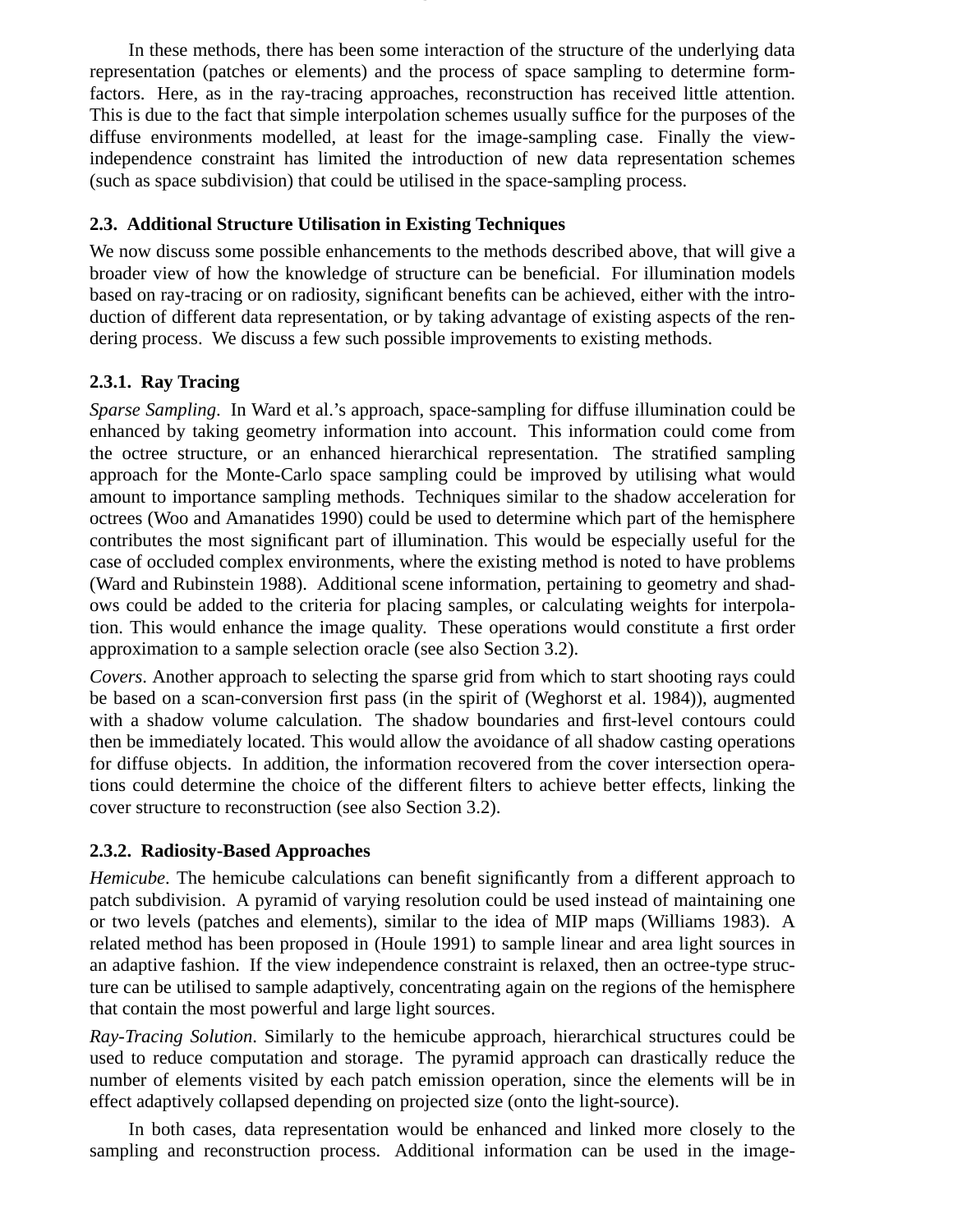In these methods, there has been some interaction of the structure of the underlying data representation (patches or elements) and the process of space sampling to determine formfactors. Here, as in the ray-tracing approaches, reconstruction has received little attention. This is due to the fact that simple interpolation schemes usually suffice for the purposes of the diffuse environments modelled, at least for the image-sampling case. Finally the viewindependence constraint has limited the introduction of new data representation schemes (such as space subdivision) that could be utilised in the space-sampling process.

-5-

## **2.3. Additional Structure Utilisation in Existing Techniques**

We now discuss some possible enhancements to the methods described above, that will give a broader view of how the knowledge of structure can be beneficial. For illumination models based on ray-tracing or on radiosity, significant benefits can be achieved, either with the introduction of different data representation, or by taking advantage of existing aspects of the rendering process. We discuss a few such possible improvements to existing methods.

## **2.3.1. Ray Tracing**

*Sparse Sampling*. In Ward et al.'s approach, space-sampling for diffuse illumination could be enhanced by taking geometry information into account. This information could come from the octree structure, or an enhanced hierarchical representation. The stratified sampling approach for the Monte-Carlo space sampling could be improved by utilising what would amount to importance sampling methods. Techniques similar to the shadow acceleration for octrees (Woo and Amanatides 1990) could be used to determine which part of the hemisphere contributes the most significant part of illumination. This would be especially useful for the case of occluded complex environments, where the existing method is noted to have problems (Ward and Rubinstein 1988). Additional scene information, pertaining to geometry and shadows could be added to the criteria for placing samples, or calculating weights for interpolation. This would enhance the image quality. These operations would constitute a first order approximation to a sample selection oracle (see also Section 3.2).

*Covers*. Another approach to selecting the sparse grid from which to start shooting rays could be based on a scan-conversion first pass (in the spirit of (Weghorst et al. 1984)), augmented with a shadow volume calculation. The shadow boundaries and first-level contours could then be immediately located. This would allow the avoidance of all shadow casting operations for diffuse objects. In addition, the information recovered from the cover intersection operations could determine the choice of the different filters to achieve better effects, linking the cover structure to reconstruction (see also Section 3.2).

## **2.3.2. Radiosity-Based Approaches**

*Hemicube*. The hemicube calculations can benefit significantly from a different approach to patch subdivision. A pyramid of varying resolution could be used instead of maintaining one or two levels (patches and elements), similar to the idea of MIP maps (Williams 1983). A related method has been proposed in (Houle 1991) to sample linear and area light sources in an adaptive fashion. If the view independence constraint is relaxed, then an octree-type structure can be utilised to sample adaptively, concentrating again on the regions of the hemisphere that contain the most powerful and large light sources.

*Ray-Tracing Solution*. Similarly to the hemicube approach, hierarchical structures could be used to reduce computation and storage. The pyramid approach can drastically reduce the number of elements visited by each patch emission operation, since the elements will be in effect adaptively collapsed depending on projected size (onto the light-source).

In both cases, data representation would be enhanced and linked more closely to the sampling and reconstruction process. Additional information can be used in the image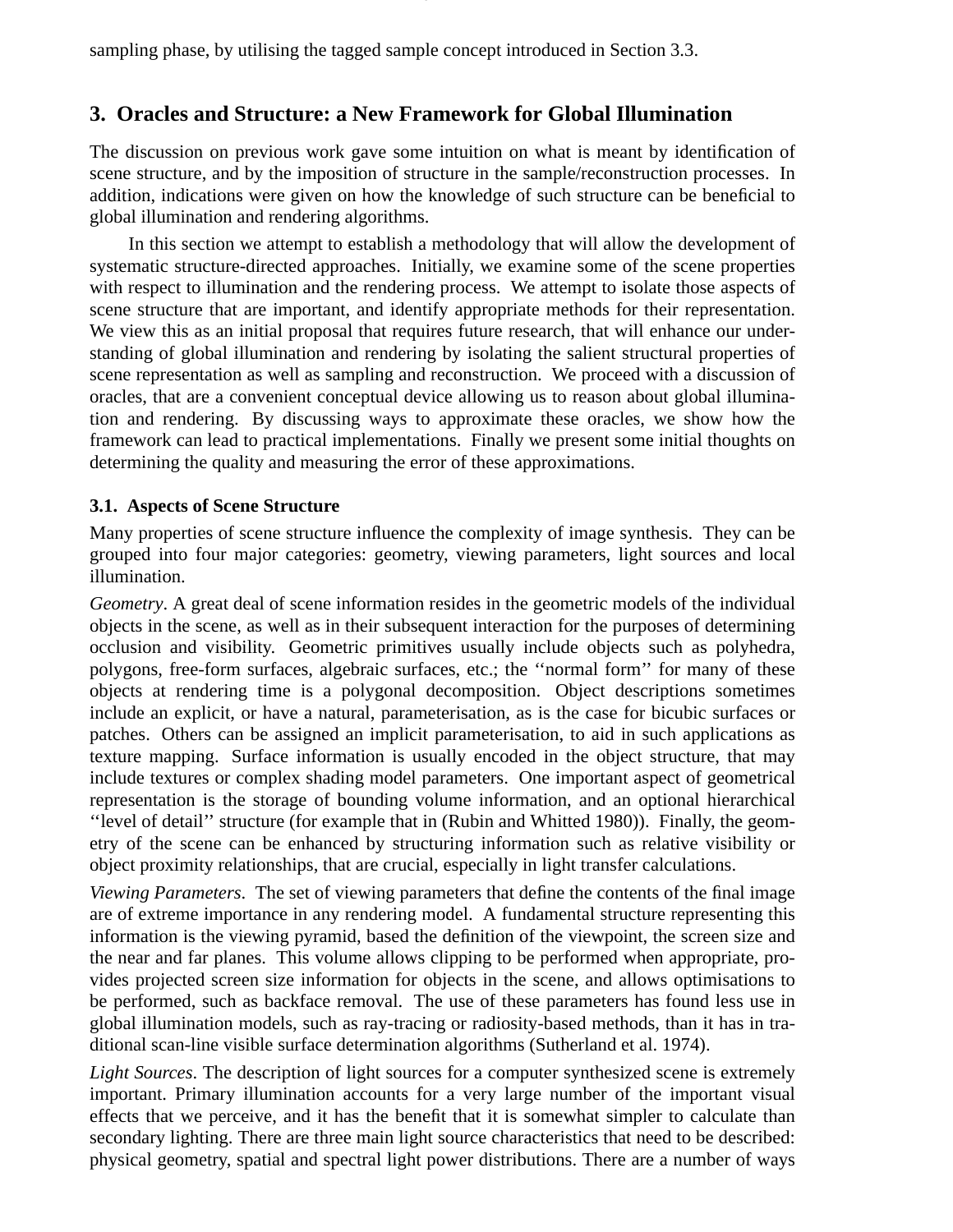sampling phase, by utilising the tagged sample concept introduced in Section 3.3.

# **3. Oracles and Structure: a New Framework for Global Illumination**

The discussion on previous work gave some intuition on what is meant by identification of scene structure, and by the imposition of structure in the sample/reconstruction processes. In addition, indications were given on how the knowledge of such structure can be beneficial to global illumination and rendering algorithms.

In this section we attempt to establish a methodology that will allow the development of systematic structure-directed approaches. Initially, we examine some of the scene properties with respect to illumination and the rendering process. We attempt to isolate those aspects of scene structure that are important, and identify appropriate methods for their representation. We view this as an initial proposal that requires future research, that will enhance our understanding of global illumination and rendering by isolating the salient structural properties of scene representation as well as sampling and reconstruction. We proceed with a discussion of oracles, that are a convenient conceptual device allowing us to reason about global illumination and rendering. By discussing ways to approximate these oracles, we show how the framework can lead to practical implementations. Finally we present some initial thoughts on determining the quality and measuring the error of these approximations.

## **3.1. Aspects of Scene Structure**

Many properties of scene structure influence the complexity of image synthesis. They can be grouped into four major categories: geometry, viewing parameters, light sources and local illumination.

*Geometry*. A great deal of scene information resides in the geometric models of the individual objects in the scene, as well as in their subsequent interaction for the purposes of determining occlusion and visibility. Geometric primitives usually include objects such as polyhedra, polygons, free-form surfaces, algebraic surfaces, etc.; the ''normal form'' for many of these objects at rendering time is a polygonal decomposition. Object descriptions sometimes include an explicit, or have a natural, parameterisation, as is the case for bicubic surfaces or patches. Others can be assigned an implicit parameterisation, to aid in such applications as texture mapping. Surface information is usually encoded in the object structure, that may include textures or complex shading model parameters. One important aspect of geometrical representation is the storage of bounding volume information, and an optional hierarchical ''level of detail'' structure (for example that in (Rubin and Whitted 1980)). Finally, the geometry of the scene can be enhanced by structuring information such as relative visibility or object proximity relationships, that are crucial, especially in light transfer calculations.

*Viewing Parameters*. The set of viewing parameters that define the contents of the final image are of extreme importance in any rendering model. A fundamental structure representing this information is the viewing pyramid, based the definition of the viewpoint, the screen size and the near and far planes. This volume allows clipping to be performed when appropriate, provides projected screen size information for objects in the scene, and allows optimisations to be performed, such as backface removal. The use of these parameters has found less use in global illumination models, such as ray-tracing or radiosity-based methods, than it has in traditional scan-line visible surface determination algorithms (Sutherland et al. 1974).

*Light Sources*. The description of light sources for a computer synthesized scene is extremely important. Primary illumination accounts for a very large number of the important visual effects that we perceive, and it has the benefit that it is somewhat simpler to calculate than secondary lighting. There are three main light source characteristics that need to be described: physical geometry, spatial and spectral light power distributions. There are a number of ways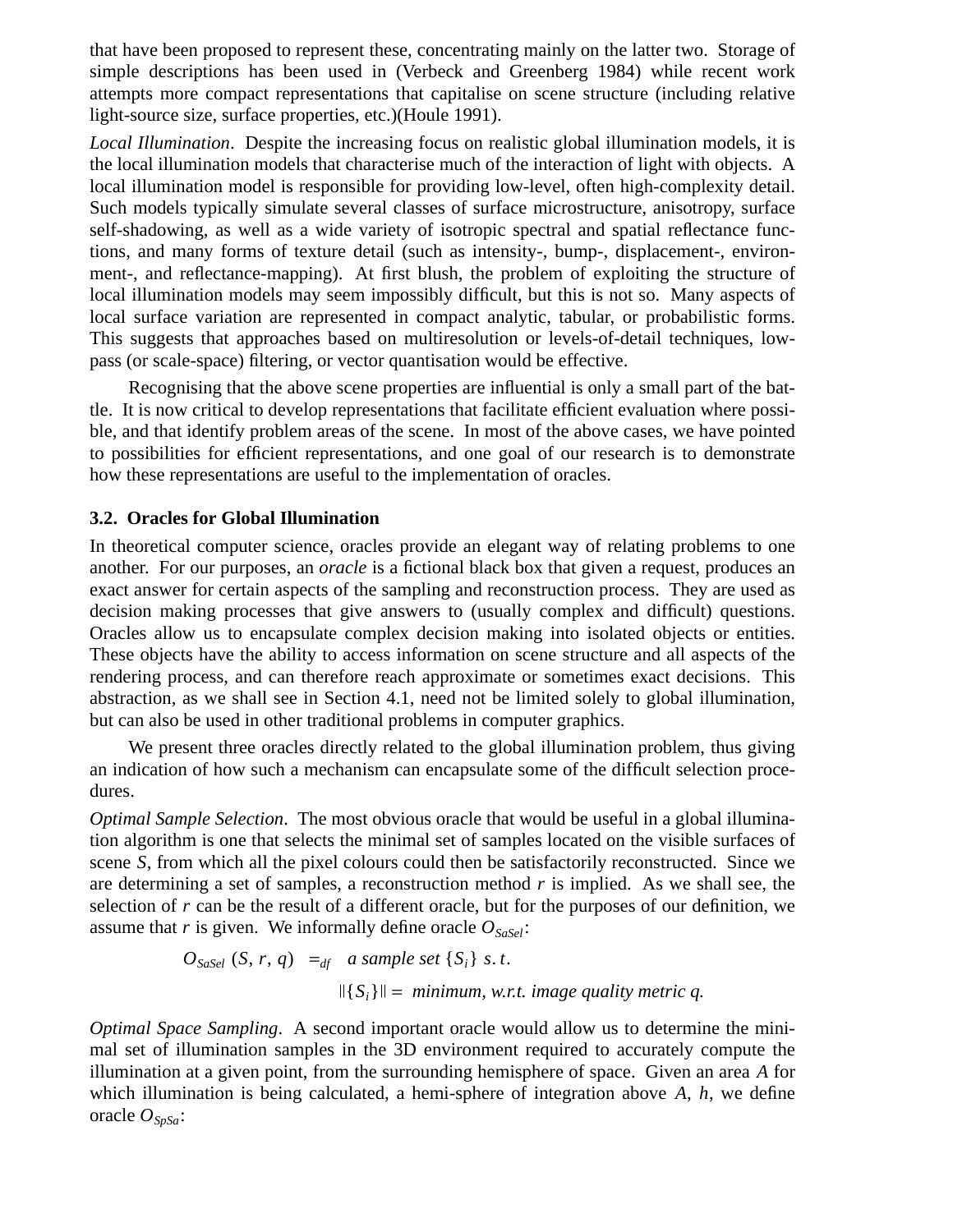that have been proposed to represent these, concentrating mainly on the latter two. Storage of simple descriptions has been used in (Verbeck and Greenberg 1984) while recent work attempts more compact representations that capitalise on scene structure (including relative light-source size, surface properties, etc.)(Houle 1991).

*Local Illumination*. Despite the increasing focus on realistic global illumination models, it is the local illumination models that characterise much of the interaction of light with objects. A local illumination model is responsible for providing low-level, often high-complexity detail. Such models typically simulate several classes of surface microstructure, anisotropy, surface self-shadowing, as well as a wide variety of isotropic spectral and spatial reflectance functions, and many forms of texture detail (such as intensity-, bump-, displacement-, environment-, and reflectance-mapping). At first blush, the problem of exploiting the structure of local illumination models may seem impossibly difficult, but this is not so. Many aspects of local surface variation are represented in compact analytic, tabular, or probabilistic forms. This suggests that approaches based on multiresolution or levels-of-detail techniques, lowpass (or scale-space) filtering, or vector quantisation would be effective.

Recognising that the above scene properties are influential is only a small part of the battle. It is now critical to develop representations that facilitate efficient evaluation where possible, and that identify problem areas of the scene. In most of the above cases, we have pointed to possibilities for efficient representations, and one goal of our research is to demonstrate how these representations are useful to the implementation of oracles.

#### **3.2. Oracles for Global Illumination**

In theoretical computer science, oracles provide an elegant way of relating problems to one another. For our purposes, an *oracle* is a fictional black box that given a request, produces an exact answer for certain aspects of the sampling and reconstruction process. They are used as decision making processes that give answers to (usually complex and difficult) questions. Oracles allow us to encapsulate complex decision making into isolated objects or entities. These objects have the ability to access information on scene structure and all aspects of the rendering process, and can therefore reach approximate or sometimes exact decisions. This abstraction, as we shall see in Section 4.1, need not be limited solely to global illumination, but can also be used in other traditional problems in computer graphics.

We present three oracles directly related to the global illumination problem, thus giving an indication of how such a mechanism can encapsulate some of the difficult selection procedures.

*Optimal Sample Selection*. The most obvious oracle that would be useful in a global illumination algorithm is one that selects the minimal set of samples located on the visible surfaces of scene *S*, from which all the pixel colours could then be satisfactorily reconstructed. Since we are determining a set of samples, a reconstruction method  $r$  is implied. As we shall see, the selection of *r* can be the result of a different oracle, but for the purposes of our definition, we assume that *r* is given. We informally define oracle  $O_{S_0S_0}$ :

$$
O_{Sasel}(S, r, q) =_{df} a sample set \{S_i\} s.t.
$$
  
 $||\{S_i\}|| = minimum, w.r.t. image quality metric q.$ 

*Optimal Space Sampling*. A second important oracle would allow us to determine the minimal set of illumination samples in the 3D environment required to accurately compute the illumination at a given point, from the surrounding hemisphere of space. Given an area *A* for which illumination is being calculated, a hemi-sphere of integration above *A*, *h*, we define oracle *OSpSa*: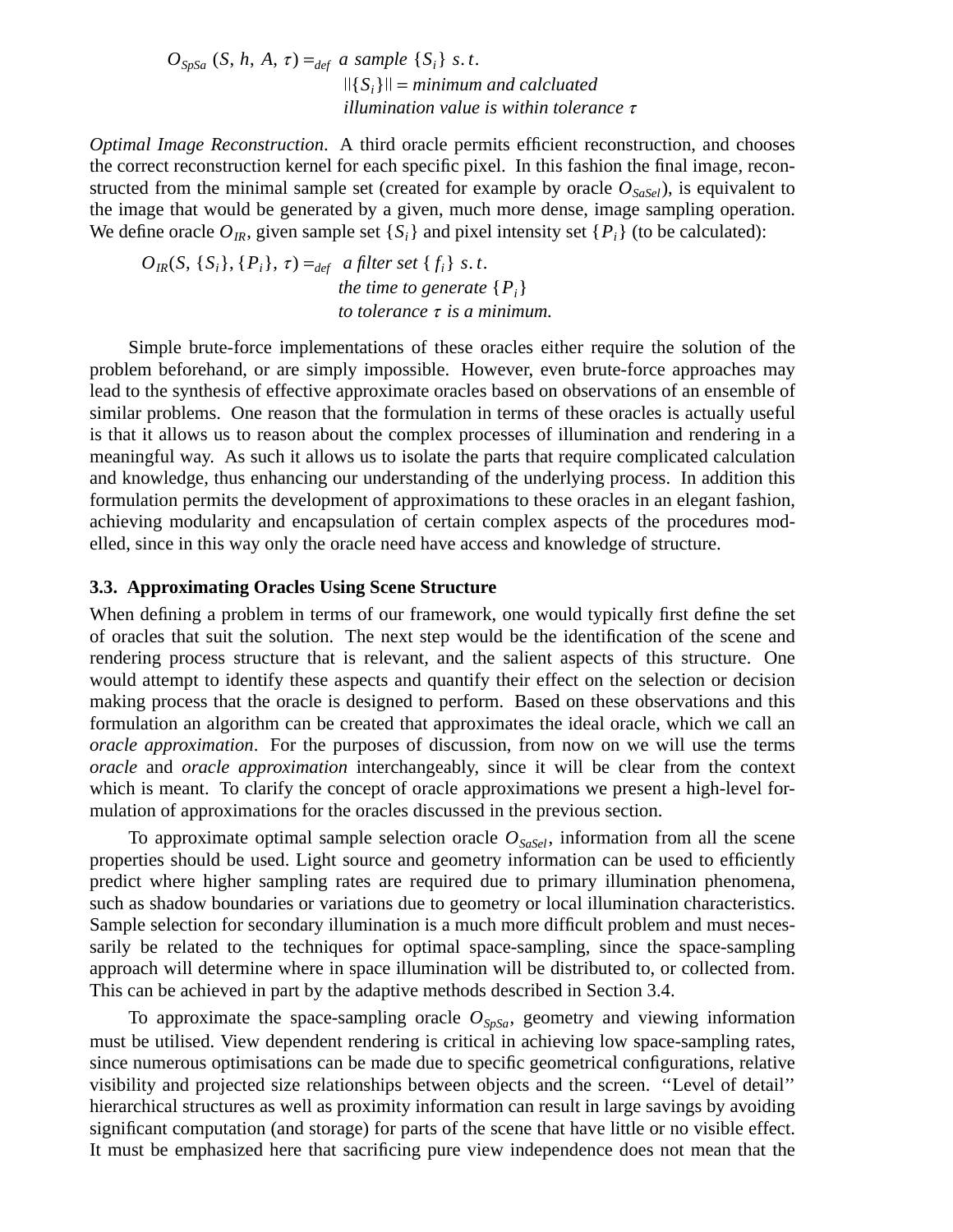$O_{SpSa}$  (*S*, *h*, *A*, *t*) =*def a* sample {*S<sub>i</sub>*} *s*. *t*.  $\| \{ S_i \} \|$  = *minimum and calcluated illumination value is within tolerance* <sup>τ</sup>

*Optimal Image Reconstruction*. A third oracle permits efficient reconstruction, and chooses the correct reconstruction kernel for each specific pixel. In this fashion the final image, reconstructed from the minimal sample set (created for example by oracle  $O_{S_0S_0I}$ ), is equivalent to the image that would be generated by a given, much more dense, image sampling operation. We define oracle  $O_{IR}$ , given sample set  $\{S_i\}$  and pixel intensity set  $\{P_i\}$  (to be calculated):

 $O_{IR}(S, \{S_i\}, \{P_i\}, \tau) =_{def} a filter set \{f_i\} s.t.$ *the time to generate*  $\{P_i\}$ *to tolerance* <sup>τ</sup> *is a minimum.*

Simple brute-force implementations of these oracles either require the solution of the problem beforehand, or are simply impossible. However, even brute-force approaches may lead to the synthesis of effective approximate oracles based on observations of an ensemble of similar problems. One reason that the formulation in terms of these oracles is actually useful is that it allows us to reason about the complex processes of illumination and rendering in a meaningful way. As such it allows us to isolate the parts that require complicated calculation and knowledge, thus enhancing our understanding of the underlying process. In addition this formulation permits the development of approximations to these oracles in an elegant fashion, achieving modularity and encapsulation of certain complex aspects of the procedures modelled, since in this way only the oracle need have access and knowledge of structure.

#### **3.3. Approximating Oracles Using Scene Structure**

When defining a problem in terms of our framework, one would typically first define the set of oracles that suit the solution. The next step would be the identification of the scene and rendering process structure that is relevant, and the salient aspects of this structure. One would attempt to identify these aspects and quantify their effect on the selection or decision making process that the oracle is designed to perform. Based on these observations and this formulation an algorithm can be created that approximates the ideal oracle, which we call an *oracle approximation*. For the purposes of discussion, from now on we will use the terms *oracle* and *oracle approximation* interchangeably, since it will be clear from the context which is meant. To clarify the concept of oracle approximations we present a high-level formulation of approximations for the oracles discussed in the previous section.

To approximate optimal sample selection oracle  $O_{S_0S_0I}$ , information from all the scene properties should be used. Light source and geometry information can be used to efficiently predict where higher sampling rates are required due to primary illumination phenomena, such as shadow boundaries or variations due to geometry or local illumination characteristics. Sample selection for secondary illumination is a much more difficult problem and must necessarily be related to the techniques for optimal space-sampling, since the space-sampling approach will determine where in space illumination will be distributed to, or collected from. This can be achieved in part by the adaptive methods described in Section 3.4.

To approximate the space-sampling oracle  $O_{SpSa}$ , geometry and viewing information must be utilised. View dependent rendering is critical in achieving low space-sampling rates, since numerous optimisations can be made due to specific geometrical configurations, relative visibility and projected size relationships between objects and the screen. ''Level of detail'' hierarchical structures as well as proximity information can result in large savings by avoiding significant computation (and storage) for parts of the scene that have little or no visible effect. It must be emphasized here that sacrificing pure view independence does not mean that the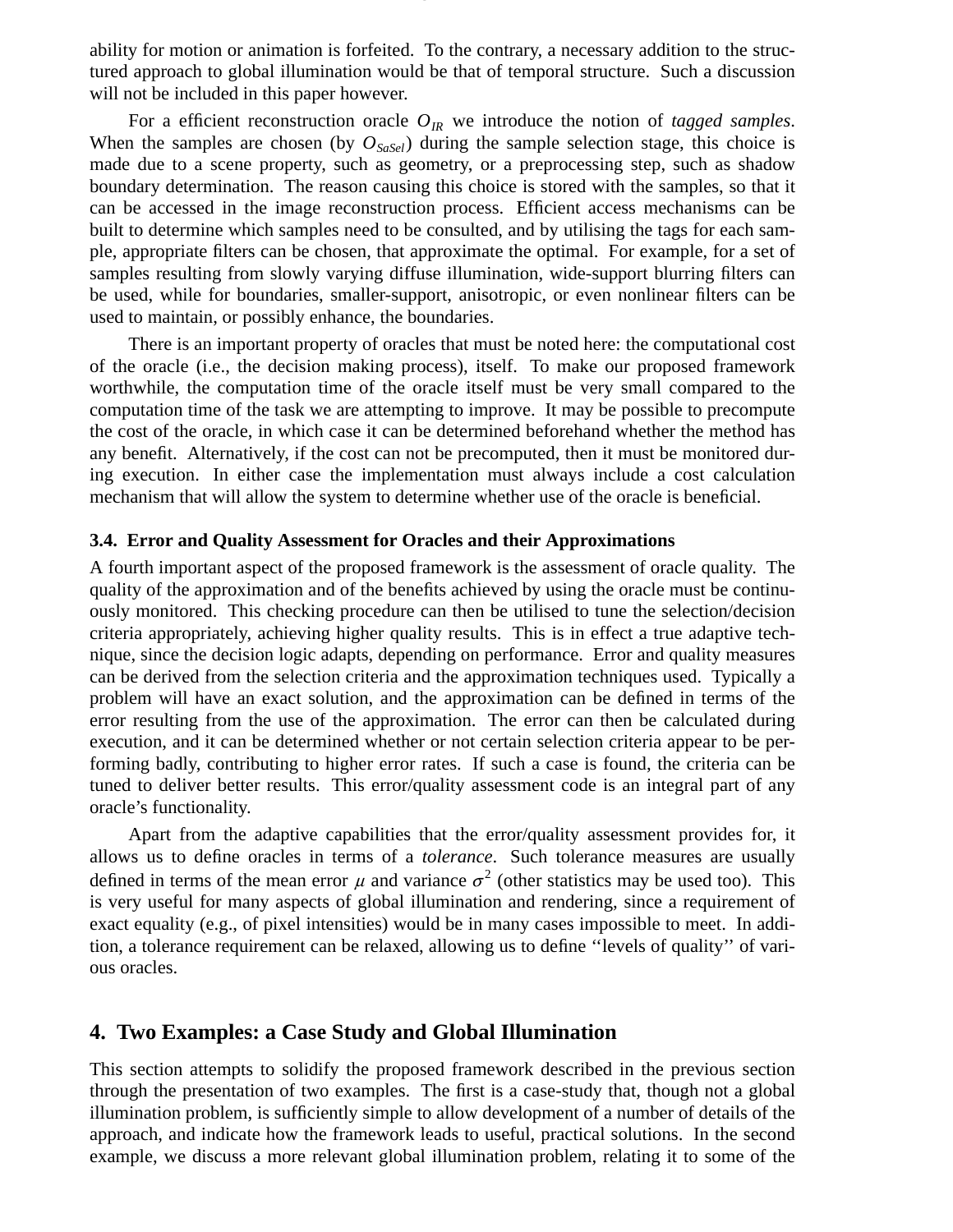ability for motion or animation is forfeited. To the contrary, a necessary addition to the structured approach to global illumination would be that of temporal structure. Such a discussion will not be included in this paper however.

-9-

For a efficient reconstruction oracle  $O_{IR}$  we introduce the notion of *tagged samples*. When the samples are chosen (by  $O_{S_4S_6}$ ) during the sample selection stage, this choice is made due to a scene property, such as geometry, or a preprocessing step, such as shadow boundary determination. The reason causing this choice is stored with the samples, so that it can be accessed in the image reconstruction process. Efficient access mechanisms can be built to determine which samples need to be consulted, and by utilising the tags for each sample, appropriate filters can be chosen, that approximate the optimal. For example, for a set of samples resulting from slowly varying diffuse illumination, wide-support blurring filters can be used, while for boundaries, smaller-support, anisotropic, or even nonlinear filters can be used to maintain, or possibly enhance, the boundaries.

There is an important property of oracles that must be noted here: the computational cost of the oracle (i.e., the decision making process), itself. To make our proposed framework worthwhile, the computation time of the oracle itself must be very small compared to the computation time of the task we are attempting to improve. It may be possible to precompute the cost of the oracle, in which case it can be determined beforehand whether the method has any benefit. Alternatively, if the cost can not be precomputed, then it must be monitored during execution. In either case the implementation must always include a cost calculation mechanism that will allow the system to determine whether use of the oracle is beneficial.

#### **3.4. Error and Quality Assessment for Oracles and their Approximations**

A fourth important aspect of the proposed framework is the assessment of oracle quality. The quality of the approximation and of the benefits achieved by using the oracle must be continuously monitored. This checking procedure can then be utilised to tune the selection/decision criteria appropriately, achieving higher quality results. This is in effect a true adaptive technique, since the decision logic adapts, depending on performance. Error and quality measures can be derived from the selection criteria and the approximation techniques used. Typically a problem will have an exact solution, and the approximation can be defined in terms of the error resulting from the use of the approximation. The error can then be calculated during execution, and it can be determined whether or not certain selection criteria appear to be performing badly, contributing to higher error rates. If such a case is found, the criteria can be tuned to deliver better results. This error/quality assessment code is an integral part of any oracle's functionality.

Apart from the adaptive capabilities that the error/quality assessment provides for, it allows us to define oracles in terms of a *tolerance*. Such tolerance measures are usually defined in terms of the mean error  $\mu$  and variance  $\sigma^2$  (other statistics may be used too). This is very useful for many aspects of global illumination and rendering, since a requirement of exact equality (e.g., of pixel intensities) would be in many cases impossible to meet. In addition, a tolerance requirement can be relaxed, allowing us to define ''levels of quality'' of various oracles.

## **4. Two Examples: a Case Study and Global Illumination**

This section attempts to solidify the proposed framework described in the previous section through the presentation of two examples. The first is a case-study that, though not a global illumination problem, is sufficiently simple to allow development of a number of details of the approach, and indicate how the framework leads to useful, practical solutions. In the second example, we discuss a more relevant global illumination problem, relating it to some of the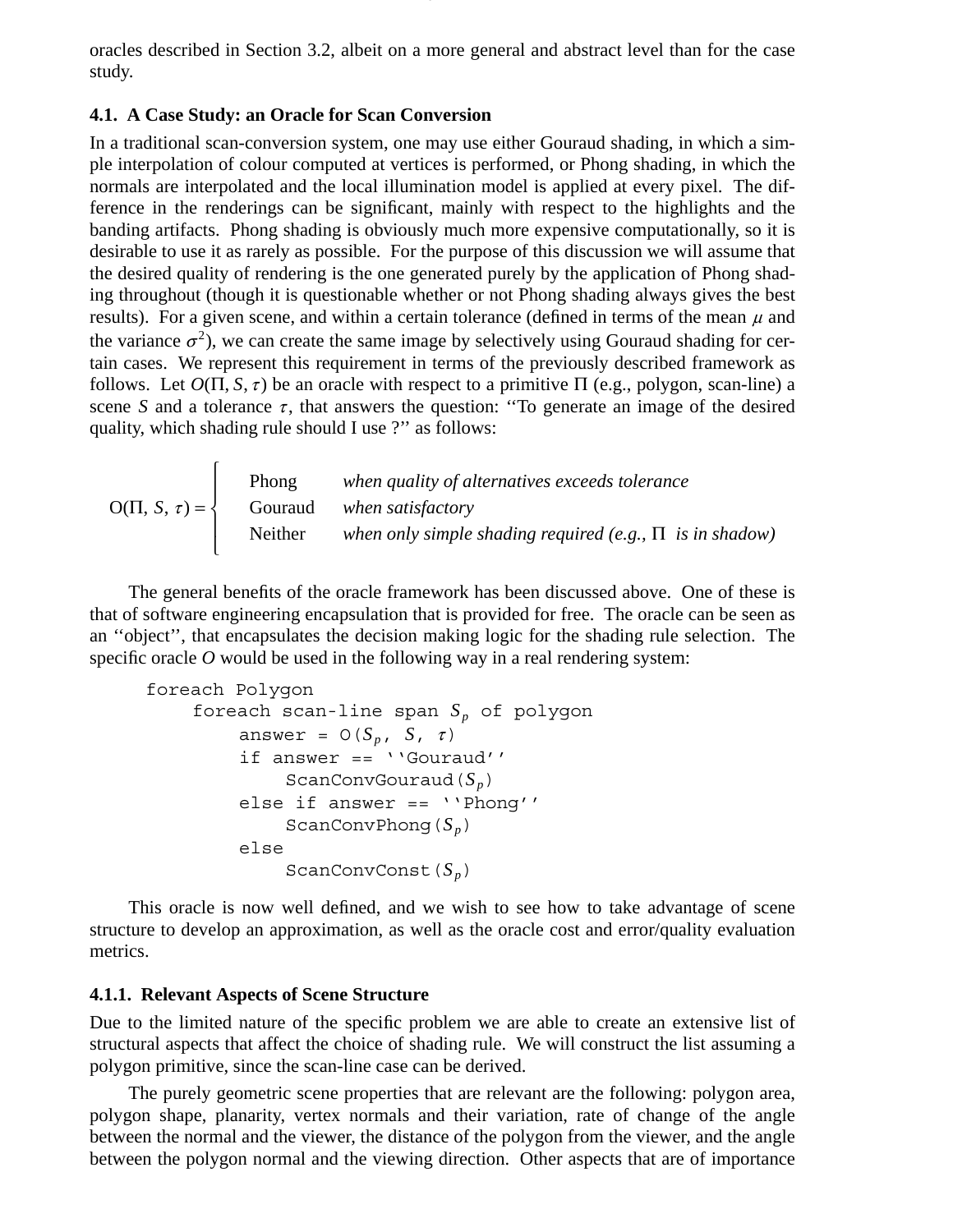oracles described in Section 3.2, albeit on a more general and abstract level than for the case study.

## **4.1. A Case Study: an Oracle for Scan Conversion**

In a traditional scan-conversion system, one may use either Gouraud shading, in which a simple interpolation of colour computed at vertices is performed, or Phong shading, in which the normals are interpolated and the local illumination model is applied at every pixel. The difference in the renderings can be significant, mainly with respect to the highlights and the banding artifacts. Phong shading is obviously much more expensive computationally, so it is desirable to use it as rarely as possible. For the purpose of this discussion we will assume that the desired quality of rendering is the one generated purely by the application of Phong shading throughout (though it is questionable whether or not Phong shading always gives the best results). For a given scene, and within a certain tolerance (defined in terms of the mean  $\mu$  and the variance  $\sigma^2$ ), we can create the same image by selectively using Gouraud shading for certain cases. We represent this requirement in terms of the previously described framework as follows. Let  $O(\Pi, S, \tau)$  be an oracle with respect to a primitive  $\Pi$  (e.g., polygon, scan-line) a scene *S* and a tolerance  $\tau$ , that answers the question: "To generate an image of the desired quality, which shading rule should I use ?'' as follows:

| $O(\Pi, S, \tau) = \{$ | Phong<br>Neither | when quality of alternatives exceeds tolerance<br>Gouraud <i>when satisfactory</i><br>when only simple shading required (e.g., $\Pi$ is in shadow) |
|------------------------|------------------|----------------------------------------------------------------------------------------------------------------------------------------------------|
|------------------------|------------------|----------------------------------------------------------------------------------------------------------------------------------------------------|

The general benefits of the oracle framework has been discussed above. One of these is that of software engineering encapsulation that is provided for free. The oracle can be seen as an ''object'', that encapsulates the decision making logic for the shading rule selection. The specific oracle O would be used in the following way in a real rendering system:

```
foreach Polygon
foreach scan-line span Sp of polygon
    answer = O(S_p, S, \tau)if answer == ''Gouraud''
         ScanConvGouraud(S_n)
    else if answer == ''Phong''
         ScanConvPhong(S_n)
    else
         ScanConvConst(Sp)
```
This oracle is now well defined, and we wish to see how to take advantage of scene structure to develop an approximation, as well as the oracle cost and error/quality evaluation metrics.

## **4.1.1. Relevant Aspects of Scene Structure**

Due to the limited nature of the specific problem we are able to create an extensive list of structural aspects that affect the choice of shading rule. We will construct the list assuming a polygon primitive, since the scan-line case can be derived.

The purely geometric scene properties that are relevant are the following: polygon area, polygon shape, planarity, vertex normals and their variation, rate of change of the angle between the normal and the viewer, the distance of the polygon from the viewer, and the angle between the polygon normal and the viewing direction. Other aspects that are of importance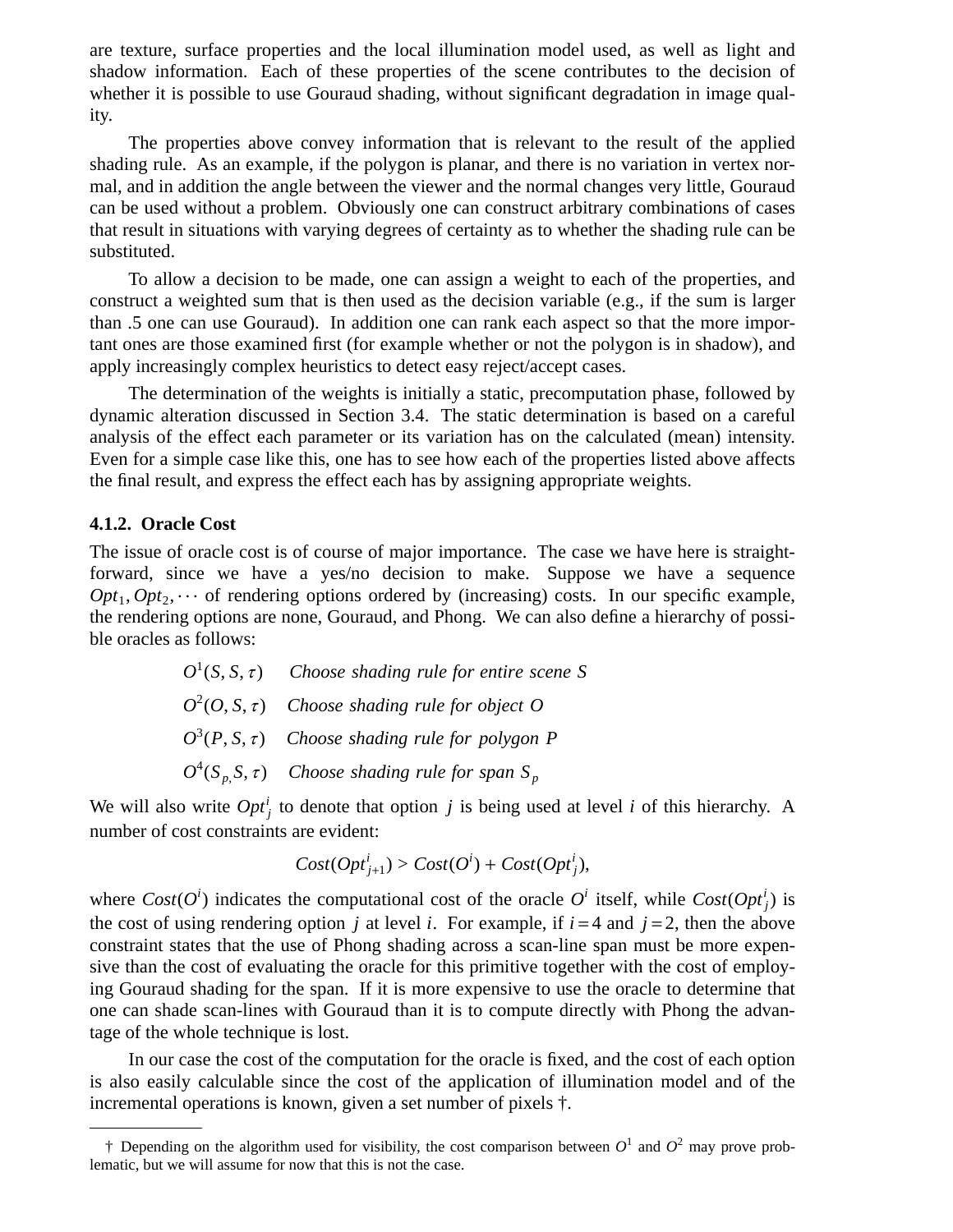are texture, surface properties and the local illumination model used, as well as light and shadow information. Each of these properties of the scene contributes to the decision of whether it is possible to use Gouraud shading, without significant degradation in image quality.

The properties above convey information that is relevant to the result of the applied shading rule. As an example, if the polygon is planar, and there is no variation in vertex normal, and in addition the angle between the viewer and the normal changes very little, Gouraud can be used without a problem. Obviously one can construct arbitrary combinations of cases that result in situations with varying degrees of certainty as to whether the shading rule can be substituted.

To allow a decision to be made, one can assign a weight to each of the properties, and construct a weighted sum that is then used as the decision variable (e.g., if the sum is larger than .5 one can use Gouraud). In addition one can rank each aspect so that the more important ones are those examined first (for example whether or not the polygon is in shadow), and apply increasingly complex heuristics to detect easy reject/accept cases.

The determination of the weights is initially a static, precomputation phase, followed by dynamic alteration discussed in Section 3.4. The static determination is based on a careful analysis of the effect each parameter or its variation has on the calculated (mean) intensity. Even for a simple case like this, one has to see how each of the properties listed above affects the final result, and express the effect each has by assigning appropriate weights.

#### **4.1.2. Oracle Cost**

The issue of oracle cost is of course of major importance. The case we have here is straightforward, since we have a yes/no decision to make. Suppose we have a sequence  $Opt_1, Opt_2, \cdots$  of rendering options ordered by (increasing) costs. In our specific example, the rendering options are none, Gouraud, and Phong. We can also define a hierarchy of possible oracles as follows:

| $O^1(S, S, \tau)$ Choose shading rule for entire scene S |
|----------------------------------------------------------|
| $O^2(0, S, \tau)$ Choose shading rule for object O       |
| $O^{3}(P, S, \tau)$ Choose shading rule for polygon P    |
| $O^4(S_p, S, \tau)$ Choose shading rule for span $S_p$   |

We will also write  $Opt<sup>i</sup><sub>j</sub>$  to denote that option *j* is being used at level *i* of this hierarchy. A number of cost constraints are evident:

$$
Cost(Opt_{j+1}^i) > Cost(O^i) + Cost(Opt_j^i),
$$

where  $Cost(O^i)$  indicates the computational cost of the oracle  $O^i$  itself, while  $Cost(Opt^i_j)$  is the cost of using rendering option *j* at level *i*. For example, if  $i = 4$  and  $j = 2$ , then the above constraint states that the use of Phong shading across a scan-line span must be more expensive than the cost of evaluating the oracle for this primitive together with the cost of employing Gouraud shading for the span. If it is more expensive to use the oracle to determine that one can shade scan-lines with Gouraud than it is to compute directly with Phong the advantage of the whole technique is lost.

In our case the cost of the computation for the oracle is fixed, and the cost of each option is also easily calculable since the cost of the application of illumination model and of the incremental operations is known, given a set number of pixels †.

<sup>&</sup>lt;sup> $\dagger$ </sup> Depending on the algorithm used for visibility, the cost comparison between  $O^1$  and  $O^2$  may prove problematic, but we will assume for now that this is not the case.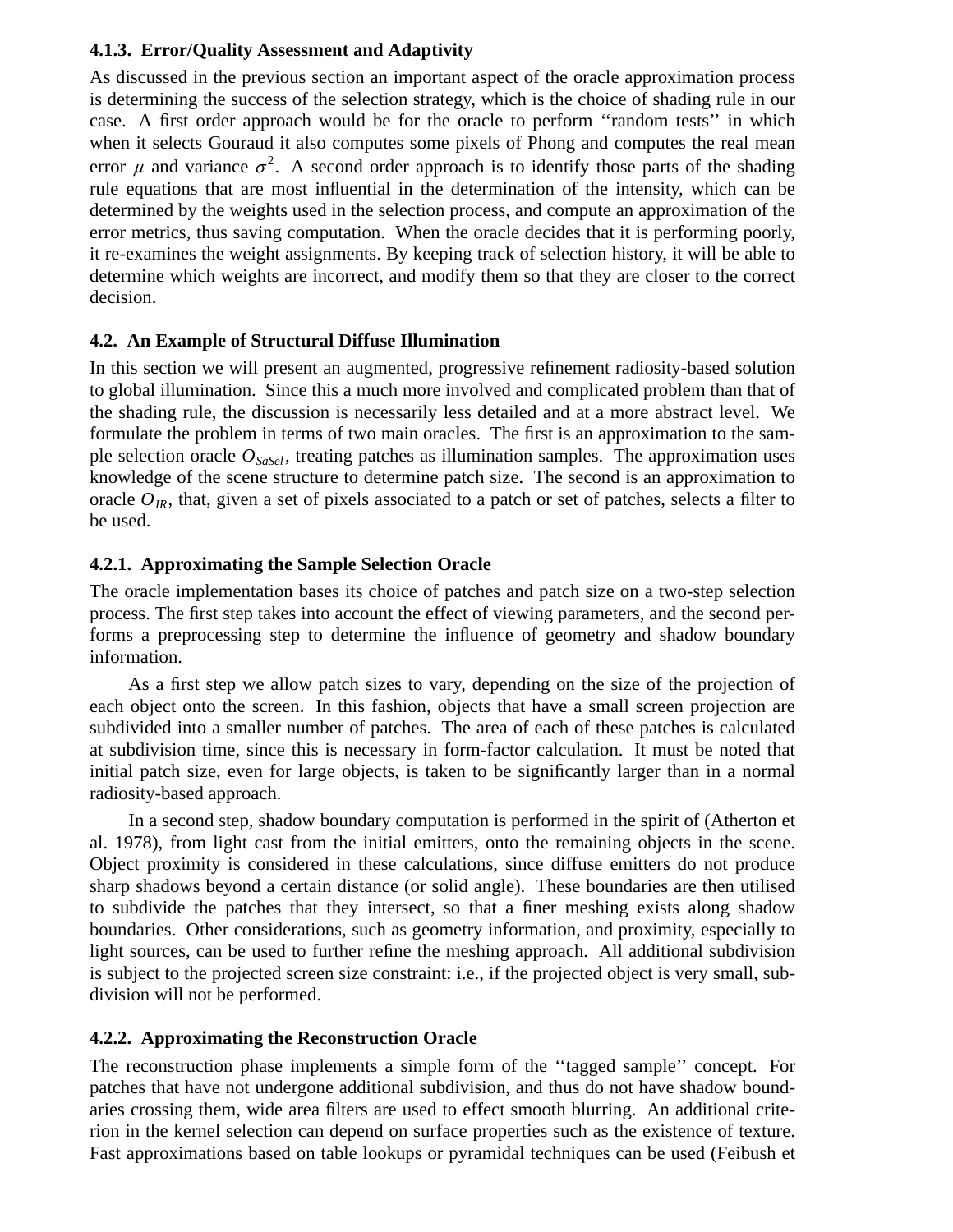## **4.1.3. Error/Quality Assessment and Adaptivity**

As discussed in the previous section an important aspect of the oracle approximation process is determining the success of the selection strategy, which is the choice of shading rule in our case. A first order approach would be for the oracle to perform ''random tests'' in which when it selects Gouraud it also computes some pixels of Phong and computes the real mean error  $\mu$  and variance  $\sigma^2$ . A second order approach is to identify those parts of the shading rule equations that are most influential in the determination of the intensity, which can be determined by the weights used in the selection process, and compute an approximation of the error metrics, thus saving computation. When the oracle decides that it is performing poorly, it re-examines the weight assignments. By keeping track of selection history, it will be able to determine which weights are incorrect, and modify them so that they are closer to the correct decision.

## **4.2. An Example of Structural Diffuse Illumination**

In this section we will present an augmented, progressive refinement radiosity-based solution to global illumination. Since this a much more involved and complicated problem than that of the shading rule, the discussion is necessarily less detailed and at a more abstract level. We formulate the problem in terms of two main oracles. The first is an approximation to the sample selection oracle  $O_{S_0S_0}$ , treating patches as illumination samples. The approximation uses knowledge of the scene structure to determine patch size. The second is an approximation to oracle  $O_{IR}$ , that, given a set of pixels associated to a patch or set of patches, selects a filter to be used.

## **4.2.1. Approximating the Sample Selection Oracle**

The oracle implementation bases its choice of patches and patch size on a two-step selection process. The first step takes into account the effect of viewing parameters, and the second performs a preprocessing step to determine the influence of geometry and shadow boundary information.

As a first step we allow patch sizes to vary, depending on the size of the projection of each object onto the screen. In this fashion, objects that have a small screen projection are subdivided into a smaller number of patches. The area of each of these patches is calculated at subdivision time, since this is necessary in form-factor calculation. It must be noted that initial patch size, even for large objects, is taken to be significantly larger than in a normal radiosity-based approach.

In a second step, shadow boundary computation is performed in the spirit of (Atherton et al. 1978), from light cast from the initial emitters, onto the remaining objects in the scene. Object proximity is considered in these calculations, since diffuse emitters do not produce sharp shadows beyond a certain distance (or solid angle). These boundaries are then utilised to subdivide the patches that they intersect, so that a finer meshing exists along shadow boundaries. Other considerations, such as geometry information, and proximity, especially to light sources, can be used to further refine the meshing approach. All additional subdivision is subject to the projected screen size constraint: i.e., if the projected object is very small, subdivision will not be performed.

## **4.2.2. Approximating the Reconstruction Oracle**

The reconstruction phase implements a simple form of the ''tagged sample'' concept. For patches that have not undergone additional subdivision, and thus do not have shadow boundaries crossing them, wide area filters are used to effect smooth blurring. An additional criterion in the kernel selection can depend on surface properties such as the existence of texture. Fast approximations based on table lookups or pyramidal techniques can be used (Feibush et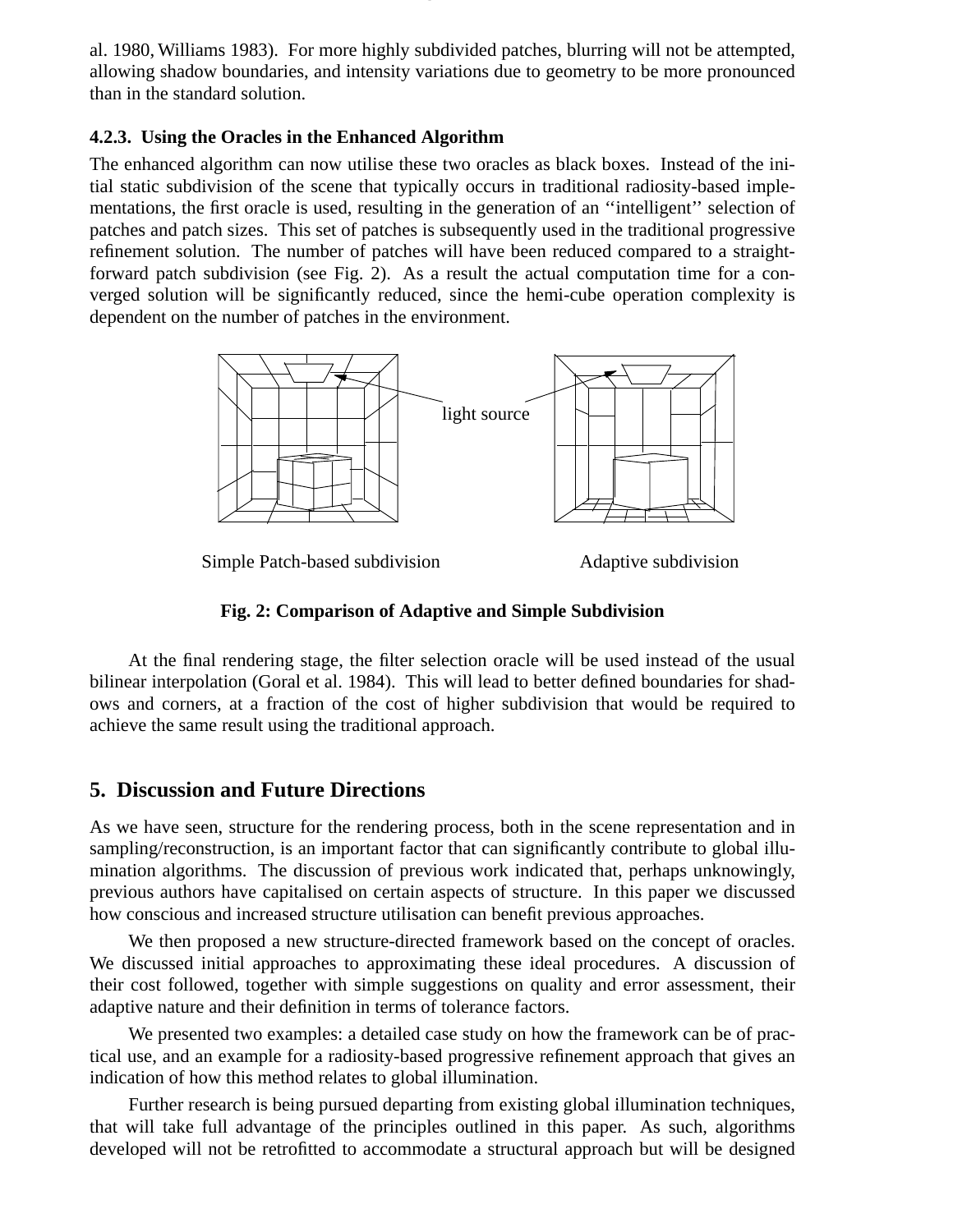al. 1980, Williams 1983). For more highly subdivided patches, blurring will not be attempted, allowing shadow boundaries, and intensity variations due to geometry to be more pronounced than in the standard solution.

- 13 -

## **4.2.3. Using the Oracles in the Enhanced Algorithm**

The enhanced algorithm can now utilise these two oracles as black boxes. Instead of the initial static subdivision of the scene that typically occurs in traditional radiosity-based implementations, the first oracle is used, resulting in the generation of an ''intelligent'' selection of patches and patch sizes. This set of patches is subsequently used in the traditional progressive refinement solution. The number of patches will have been reduced compared to a straightforward patch subdivision (see Fig. 2). As a result the actual computation time for a converged solution will be significantly reduced, since the hemi-cube operation complexity is dependent on the number of patches in the environment.



Simple Patch-based subdivision Adaptive subdivision

## **Fig. 2: Comparison of Adaptive and Simple Subdivision**

At the final rendering stage, the filter selection oracle will be used instead of the usual bilinear interpolation (Goral et al. 1984). This will lead to better defined boundaries for shadows and corners, at a fraction of the cost of higher subdivision that would be required to achieve the same result using the traditional approach.

## **5. Discussion and Future Directions**

As we have seen, structure for the rendering process, both in the scene representation and in sampling/reconstruction, is an important factor that can significantly contribute to global illumination algorithms. The discussion of previous work indicated that, perhaps unknowingly, previous authors have capitalised on certain aspects of structure. In this paper we discussed how conscious and increased structure utilisation can benefit previous approaches.

We then proposed a new structure-directed framework based on the concept of oracles. We discussed initial approaches to approximating these ideal procedures. A discussion of their cost followed, together with simple suggestions on quality and error assessment, their adaptive nature and their definition in terms of tolerance factors.

We presented two examples: a detailed case study on how the framework can be of practical use, and an example for a radiosity-based progressive refinement approach that gives an indication of how this method relates to global illumination.

Further research is being pursued departing from existing global illumination techniques, that will take full advantage of the principles outlined in this paper. As such, algorithms developed will not be retrofitted to accommodate a structural approach but will be designed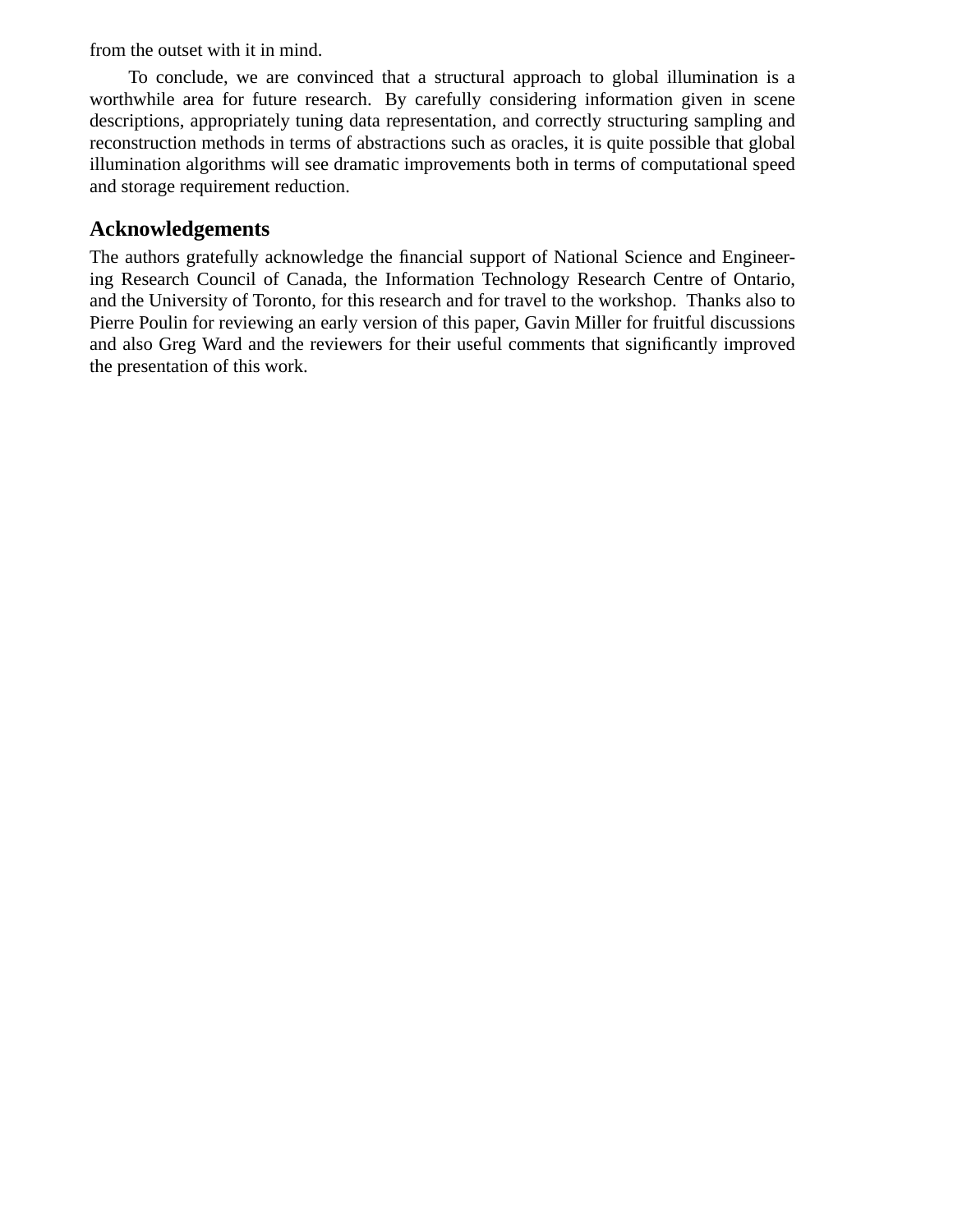from the outset with it in mind.

To conclude, we are convinced that a structural approach to global illumination is a worthwhile area for future research. By carefully considering information given in scene descriptions, appropriately tuning data representation, and correctly structuring sampling and reconstruction methods in terms of abstractions such as oracles, it is quite possible that global illumination algorithms will see dramatic improvements both in terms of computational speed and storage requirement reduction.

## **Acknowledgements**

The authors gratefully acknowledge the financial support of National Science and Engineering Research Council of Canada, the Information Technology Research Centre of Ontario, and the University of Toronto, for this research and for travel to the workshop. Thanks also to Pierre Poulin for reviewing an early version of this paper, Gavin Miller for fruitful discussions and also Greg Ward and the reviewers for their useful comments that significantly improved the presentation of this work.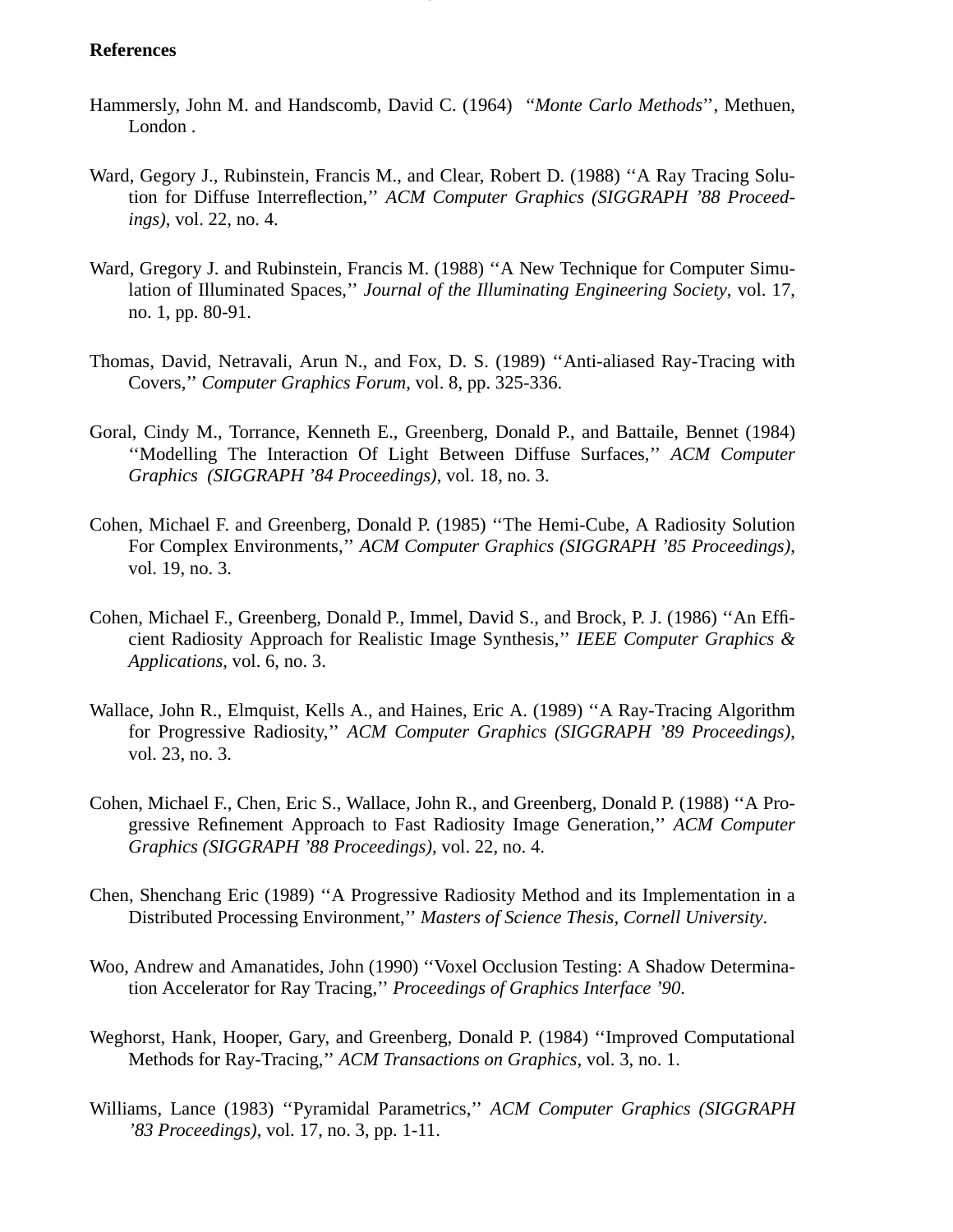#### **References**

Hammersly, John M. and Handscomb, David C. (1964) *''Monte Carlo Methods*'', Methuen, London .

- 15 -

- Ward, Gegory J., Rubinstein, Francis M., and Clear, Robert D. (1988) ''A Ray Tracing Solution for Diffuse Interreflection,'' *ACM Computer Graphics (SIGGRAPH '88 Proceedings)*, vol. 22, no. 4.
- Ward, Gregory J. and Rubinstein, Francis M. (1988) ''A New Technique for Computer Simulation of Illuminated Spaces,'' *Journal of the Illuminating Engineering Society*, vol. 17, no. 1, pp. 80-91.
- Thomas, David, Netravali, Arun N., and Fox, D. S. (1989) ''Anti-aliased Ray-Tracing with Covers,'' *Computer Graphics Forum*, vol. 8, pp. 325-336.
- Goral, Cindy M., Torrance, Kenneth E., Greenberg, Donald P., and Battaile, Bennet (1984) ''Modelling The Interaction Of Light Between Diffuse Surfaces,'' *ACM Computer Graphics (SIGGRAPH '84 Proceedings)*, vol. 18, no. 3.
- Cohen, Michael F. and Greenberg, Donald P. (1985) ''The Hemi-Cube, A Radiosity Solution For Complex Environments,'' *ACM Computer Graphics (SIGGRAPH '85 Proceedings)*, vol. 19, no. 3.
- Cohen, Michael F., Greenberg, Donald P., Immel, David S., and Brock, P. J. (1986) ''An Efficient Radiosity Approach for Realistic Image Synthesis,'' *IEEE Computer Graphics & Applications*, vol. 6, no. 3.
- Wallace, John R., Elmquist, Kells A., and Haines, Eric A. (1989) ''A Ray-Tracing Algorithm for Progressive Radiosity,'' *ACM Computer Graphics (SIGGRAPH '89 Proceedings)*, vol. 23, no. 3.
- Cohen, Michael F., Chen, Eric S., Wallace, John R., and Greenberg, Donald P. (1988) ''A Progressive Refinement Approach to Fast Radiosity Image Generation,'' *ACM Computer Graphics (SIGGRAPH '88 Proceedings)*, vol. 22, no. 4.
- Chen, Shenchang Eric (1989) ''A Progressive Radiosity Method and its Implementation in a Distributed Processing Environment,'' *Masters of Science Thesis, Cornell University*.
- Woo, Andrew and Amanatides, John (1990) ''Voxel Occlusion Testing: A Shadow Determination Accelerator for Ray Tracing,'' *Proceedings of Graphics Interface '90*.
- Weghorst, Hank, Hooper, Gary, and Greenberg, Donald P. (1984) ''Improved Computational Methods for Ray-Tracing,'' *ACM Transactions on Graphics*, vol. 3, no. 1.
- Williams, Lance (1983) ''Pyramidal Parametrics,'' *ACM Computer Graphics (SIGGRAPH '83 Proceedings)*, vol. 17, no. 3, pp. 1-11.